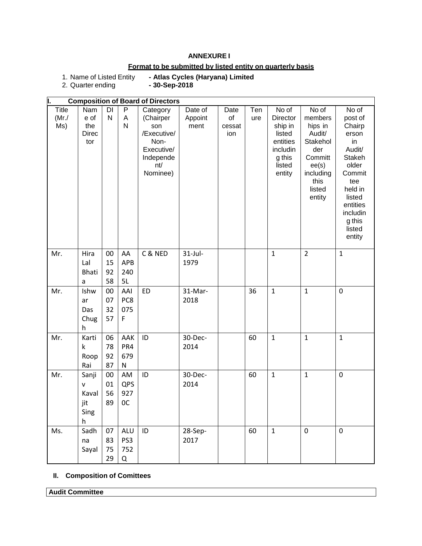#### **ANNEXURE I**

# **Format to be submitted by listed entity on quarterly basis**

- Atlas Cycles (Haryana) Limited<br>- 30-Sep-2018

1. Name of Listed Entity<br>2. Quarter ending

|       |              |              |              | <b>Composition of Board of Directors</b> |            |        |              |              |                |                |
|-------|--------------|--------------|--------------|------------------------------------------|------------|--------|--------------|--------------|----------------|----------------|
| Title | Nam          | DI           | P            | Category                                 | Date of    | Date   | $\bar{T}$ en | No of        | No of          | No of          |
| (Mr./ | e of         | $\mathsf{N}$ | A            | (Chairper                                | Appoint    | of     | ure          | Director     | members        | post of        |
| Ms)   | the          |              | N            | son                                      | ment       | cessat |              | ship in      | hips in        | Chairp         |
|       | <b>Direc</b> |              |              | /Executive/                              |            | ion    |              | listed       | Audit/         | erson          |
|       | tor          |              |              | Non-                                     |            |        |              | entities     | Stakehol       | in             |
|       |              |              |              | Executive/                               |            |        |              | includin     | der            | Audit/         |
|       |              |              |              | Independe                                |            |        |              | g this       | Committ        | Stakeh         |
|       |              |              |              | nt/                                      |            |        |              | listed       | ee(s)          | older          |
|       |              |              |              | Nominee)                                 |            |        |              | entity       | including      | Commit         |
|       |              |              |              |                                          |            |        |              |              | this<br>listed | tee<br>held in |
|       |              |              |              |                                          |            |        |              |              | entity         | listed         |
|       |              |              |              |                                          |            |        |              |              |                | entities       |
|       |              |              |              |                                          |            |        |              |              |                | includin       |
|       |              |              |              |                                          |            |        |              |              |                | g this         |
|       |              |              |              |                                          |            |        |              |              |                | listed         |
|       |              |              |              |                                          |            |        |              |              |                | entity         |
|       |              |              |              |                                          |            |        |              |              |                |                |
| Mr.   | Hira         | 00           | AA           | C & NED                                  | $31$ -Jul- |        |              | $\mathbf{1}$ | $\overline{2}$ | $\mathbf{1}$   |
|       | Lal          | 15           | APB          |                                          | 1979       |        |              |              |                |                |
|       | <b>Bhati</b> | 92           | 240          |                                          |            |        |              |              |                |                |
|       | a            | 58           | 5L           |                                          |            |        |              |              |                |                |
| Mr.   | Ishw         | 00           | AAI          | <b>ED</b>                                | 31-Mar-    |        | 36           | $\mathbf{1}$ | $\mathbf{1}$   | $\mathbf 0$    |
|       | ar           | 07           | PC8          |                                          | 2018       |        |              |              |                |                |
|       | Das          | 32           | 075          |                                          |            |        |              |              |                |                |
|       | Chug         | 57           | F            |                                          |            |        |              |              |                |                |
|       | h            |              |              |                                          |            |        |              |              |                |                |
| Mr.   | Karti        | 06           | AAK          | ID                                       | 30-Dec-    |        | 60           | $\mathbf{1}$ | $\mathbf{1}$   | $\mathbf{1}$   |
|       | k            | 78           | PR4          |                                          | 2014       |        |              |              |                |                |
|       | Roop         | 92           | 679          |                                          |            |        |              |              |                |                |
|       | Rai          | 87           | $\mathsf{N}$ |                                          |            |        |              |              |                |                |
| Mr.   | Sanji        | 00           | AM           | ID                                       | 30-Dec-    |        | 60           | $\mathbf{1}$ | $\mathbf{1}$   | $\mathbf 0$    |
|       | v            | 01           | QPS          |                                          | 2014       |        |              |              |                |                |
|       | Kaval        | 56           | 927          |                                          |            |        |              |              |                |                |
|       | jit          | 89           | 0C           |                                          |            |        |              |              |                |                |
|       | Sing         |              |              |                                          |            |        |              |              |                |                |
|       | h            |              |              |                                          |            |        |              |              |                |                |
| Ms.   | Sadh         | 07           | <b>ALU</b>   | ID                                       | 28-Sep-    |        | 60           | $\mathbf{1}$ | $\mathbf 0$    | $\mathbf 0$    |
|       | na           | 83           | PS3          |                                          | 2017       |        |              |              |                |                |
|       | Sayal        | 75           | 752          |                                          |            |        |              |              |                |                |
|       |              | 29           | Q            |                                          |            |        |              |              |                |                |
|       |              |              |              |                                          |            |        |              |              |                |                |

# **II. Composition of Comittees**

**Audit Committee**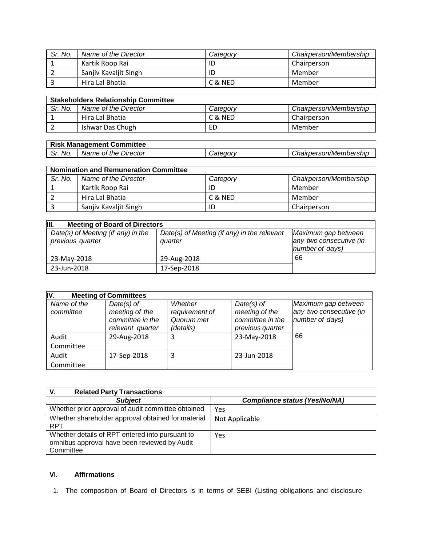| Sr. No. | Name of the Director  | Categorv | Chairperson/Membership |
|---------|-----------------------|----------|------------------------|
|         | Kartik Roop Rai       |          | Chairperson            |
|         | Sanjiv Kavaljit Singh |          | Member                 |
|         | Hira Lal Bhatia       | C & NED  | Member                 |

| <b>Stakeholders Relationship Committee</b> |                      |          |                        |  |
|--------------------------------------------|----------------------|----------|------------------------|--|
| Sr. No.                                    | Name of the Director | Category | Chairperson/Membership |  |
|                                            | Hira Lal Bhatia      | C & NED  | Chairperson            |  |
|                                            | Ishwar Das Chugh     | ED       | Member                 |  |

|         | <b>Risk Management Committee</b> |                        |                        |
|---------|----------------------------------|------------------------|------------------------|
| Sr. No. | Name of the Director             | <i><b>Category</b></i> | Chairperson/Membership |

| <b>Nomination and Remuneration Committee</b> |                       |          |                        |  |
|----------------------------------------------|-----------------------|----------|------------------------|--|
| Sr. No.                                      | Name of the Director  | Category | Chairperson/Membership |  |
|                                              | Kartik Roop Rai       | ID       | Member                 |  |
|                                              | Hira Lal Bhatia       | C & NED  | Member                 |  |
|                                              | Sanjiv Kavaljit Singh | ID       | Chairperson            |  |

| Ш.<br><b>Meeting of Board of Directors</b>             |                                                        |                                                                   |  |  |
|--------------------------------------------------------|--------------------------------------------------------|-------------------------------------------------------------------|--|--|
| Date(s) of Meeting (if any) in the<br>previous quarter | Date(s) of Meeting (if any) in the relevant<br>quarter | Maximum gap between<br>any two consecutive (in<br>number of days) |  |  |
| 23-May-2018                                            | 29-Aug-2018                                            | 66                                                                |  |  |
| 23-Jun-2018                                            | 17-Sep-2018                                            |                                                                   |  |  |

| IV.<br><b>Meeting of Committees</b> |                                                                        |                                                      |                                                                        |                                                                   |
|-------------------------------------|------------------------------------------------------------------------|------------------------------------------------------|------------------------------------------------------------------------|-------------------------------------------------------------------|
| Name of the<br>committee            | $Date(s)$ of<br>meeting of the<br>committee in the<br>relevant quarter | Whether<br>requirement of<br>Quorum met<br>(details) | $Date(s)$ of<br>meeting of the<br>committee in the<br>previous quarter | Maximum gap between<br>any two consecutive (in<br>number of days) |
| Audit                               | 29-Aug-2018                                                            |                                                      | 23-May-2018                                                            | 66                                                                |
| Committee                           |                                                                        |                                                      |                                                                        |                                                                   |
| Audit                               | 17-Sep-2018                                                            |                                                      | 23-Jun-2018                                                            |                                                                   |
| Committee                           |                                                                        |                                                      |                                                                        |                                                                   |

| V.<br><b>Related Party Transactions</b>                                                                      |                                      |
|--------------------------------------------------------------------------------------------------------------|--------------------------------------|
| <b>Subject</b>                                                                                               | <b>Compliance status (Yes/No/NA)</b> |
| Whether prior approval of audit committee obtained                                                           | Yes                                  |
| Whether shareholder approval obtained for material<br><b>RPT</b>                                             | Not Applicable                       |
| Whether details of RPT entered into pursuant to<br>omnibus approval have been reviewed by Audit<br>Committee | Yes                                  |

## **VI. Affirmations**

1. The composition of Board of Directors is in terms of SEBI (Listing obligations and disclosure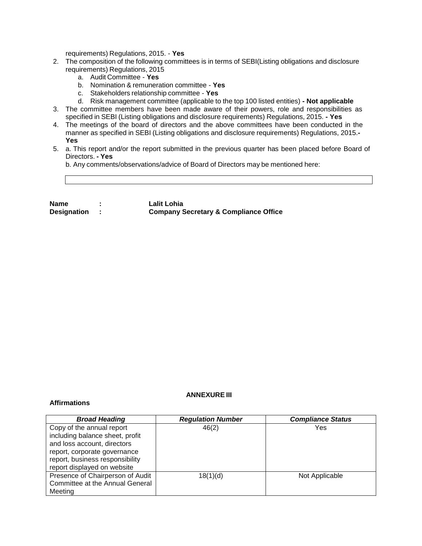requirements) Regulations, 2015. - **Yes**

- 2. The composition of the following committees is in terms of SEBI(Listing obligations and disclosure requirements) Regulations, 2015
	- a. Audit Committee **Yes**
	- b. Nomination & remuneration committee **Yes**
	- c. Stakeholders relationship committee **Yes**
	- d. Risk management committee (applicable to the top 100 listed entities) **- Not applicable**
- 3. The committee members have been made aware of their powers, role and responsibilities as specified in SEBI (Listing obligations and disclosure requirements) Regulations, 2015. **- Yes**
- 4. The meetings of the board of directors and the above committees have been conducted in the manner as specified in SEBI (Listing obligations and disclosure requirements) Regulations, 2015.**- Yes**
- 5. a. This report and/or the report submitted in the previous quarter has been placed before Board of Directors. **- Yes**

b. Any comments/observations/advice of Board of Directors may be mentioned here:

| <b>Name</b>        | Lalit Lohia                                      |
|--------------------|--------------------------------------------------|
| <b>Designation</b> | <b>Company Secretary &amp; Compliance Office</b> |

#### **ANNEXURE III**

#### **Affirmations**

| <b>Broad Heading</b>             | <b>Regulation Number</b> | <b>Compliance Status</b> |
|----------------------------------|--------------------------|--------------------------|
| Copy of the annual report        | 46(2)                    | Yes                      |
| including balance sheet, profit  |                          |                          |
| and loss account, directors      |                          |                          |
| report, corporate governance     |                          |                          |
| report, business responsibility  |                          |                          |
| report displayed on website      |                          |                          |
| Presence of Chairperson of Audit | 18(1)(d)                 | Not Applicable           |
| Committee at the Annual General  |                          |                          |
| Meetina                          |                          |                          |